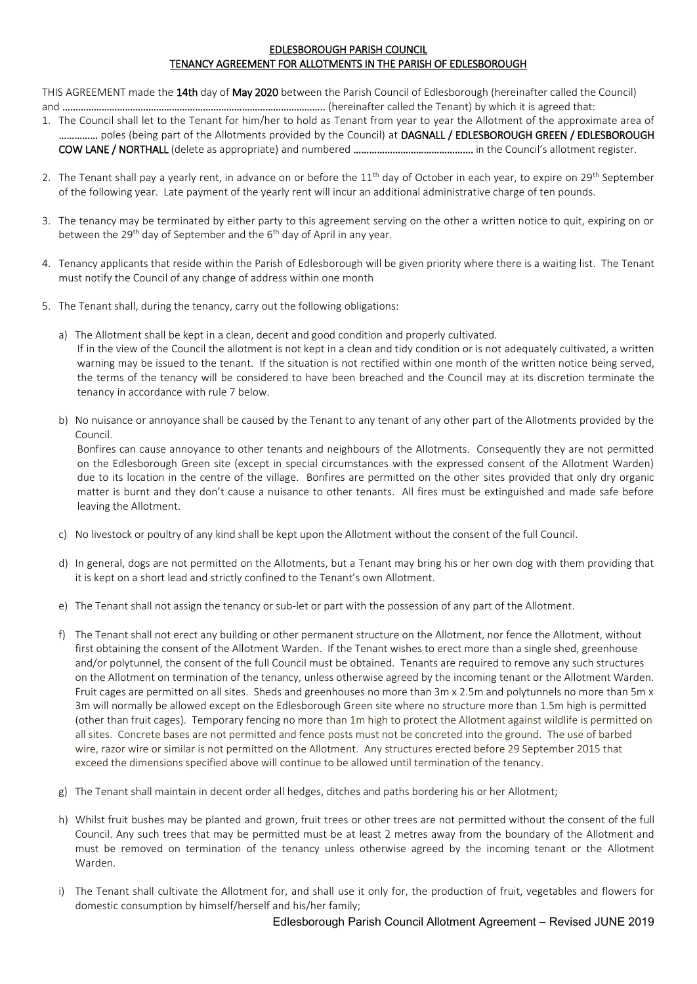#### EDLESBOROUGH PARISH COUNCIL TENANCY AGREEMENT FOR ALLOTMENTS IN THE PARISH OF EDLESBOROUGH

THIS AGREEMENT made the 14th day of May 2020 between the Parish Council of Edlesborough (hereinafter called the Council) and ……………………………………………………………………………………….. (hereinafter called the Tenant) by which it is agreed that:

- 1. The Council shall let to the Tenant for him/her to hold as Tenant from year to year the Allotment of the approximate area of ................ poles (being part of the Allotments provided by the Council) at DAGNALL / EDLESBOROUGH GREEN / EDLESBOROUGH COW LANE / NORTHALL (delete as appropriate) and numbered ………………………………………. in the Council's allotment register.
- 2. The Tenant shall pay a yearly rent, in advance on or before the  $11<sup>th</sup>$  day of October in each year, to expire on 29<sup>th</sup> September of the following year. Late payment of the yearly rent will incur an additional administrative charge of ten pounds.
- 3. The tenancy may be terminated by either party to this agreement serving on the other a written notice to quit, expiring on or between the 29<sup>th</sup> day of September and the  $6<sup>th</sup>$  day of April in any year.
- 4. Tenancy applicants that reside within the Parish of Edlesborough will be given priority where there is a waiting list. The Tenant must notify the Council of any change of address within one month
- 5. The Tenant shall, during the tenancy, carry out the following obligations:
	- a) The Allotment shall be kept in a clean, decent and good condition and properly cultivated. If in the view of the Council the allotment is not kept in a clean and tidy condition or is not adequately cultivated, a written warning may be issued to the tenant. If the situation is not rectified within one month of the written notice being served, the terms of the tenancy will be considered to have been breached and the Council may at its discretion terminate the tenancy in accordance with rule 7 below.
	- b) No nuisance or annoyance shall be caused by the Tenant to any tenant of any other part of the Allotments provided by the Council.

Bonfires can cause annoyance to other tenants and neighbours of the Allotments. Consequently they are not permitted on the Edlesborough Green site (except in special circumstances with the expressed consent of the Allotment Warden) due to its location in the centre of the village. Bonfires are permitted on the other sites provided that only dry organic matter is burnt and they don't cause a nuisance to other tenants. All fires must be extinguished and made safe before leaving the Allotment.

- c) No livestock or poultry of any kind shall be kept upon the Allotment without the consent of the full Council.
- d) In general, dogs are not permitted on the Allotments, but a Tenant may bring his or her own dog with them providing that it is kept on a short lead and strictly confined to the Tenant's own Allotment.
- e) The Tenant shall not assign the tenancy or sub-let or part with the possession of any part of the Allotment.
- f) The Tenant shall not erect any building or other permanent structure on the Allotment, nor fence the Allotment, without first obtaining the consent of the Allotment Warden. If the Tenant wishes to erect more than a single shed, greenhouse and/or polytunnel, the consent of the full Council must be obtained. Tenants are required to remove any such structures on the Allotment on termination of the tenancy, unless otherwise agreed by the incoming tenant or the Allotment Warden. Fruit cages are permitted on all sites. Sheds and greenhouses no more than 3m x 2.5m and polytunnels no more than 5m x 3m will normally be allowed except on the Edlesborough Green site where no structure more than 1.5m high is permitted (other than fruit cages). Temporary fencing no more than 1m high to protect the Allotment against wildlife is permitted on all sites. Concrete bases are not permitted and fence posts must not be concreted into the ground. The use of barbed wire, razor wire or similar is not permitted on the Allotment. Any structures erected before 29 September 2015 that exceed the dimensions specified above will continue to be allowed until termination of the tenancy.
- g) The Tenant shall maintain in decent order all hedges, ditches and paths bordering his or her Allotment;
- h) Whilst fruit bushes may be planted and grown, fruit trees or other trees are not permitted without the consent of the full Council. Any such trees that may be permitted must be at least 2 metres away from the boundary of the Allotment and must be removed on termination of the tenancy unless otherwise agreed by the incoming tenant or the Allotment Warden.
- i) The Tenant shall cultivate the Allotment for, and shall use it only for, the production of fruit, vegetables and flowers for domestic consumption by himself/herself and his/her family;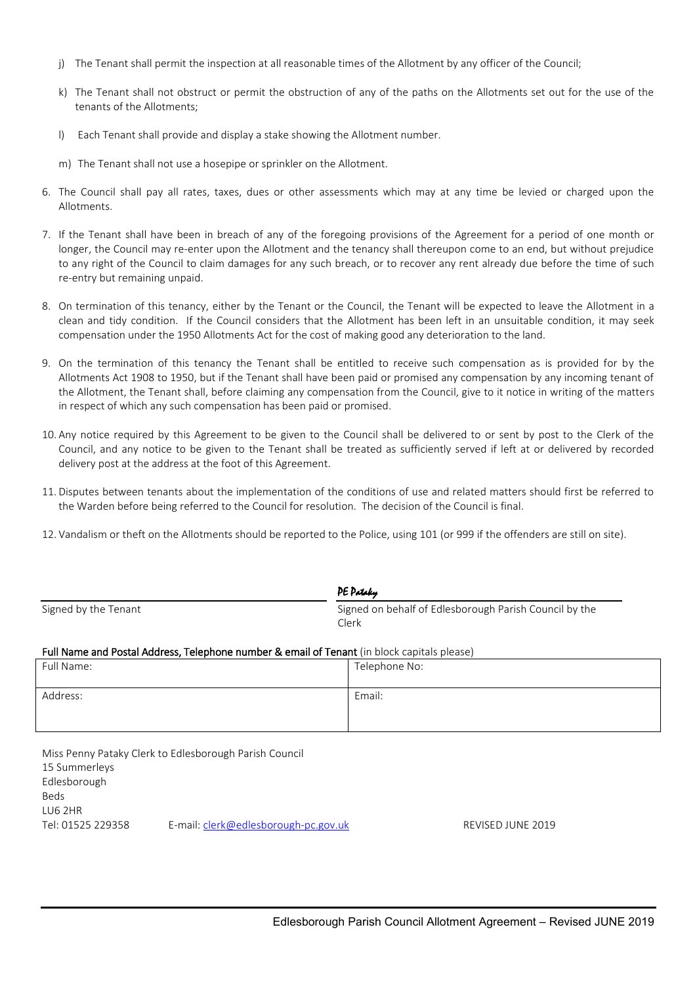- j) The Tenant shall permit the inspection at all reasonable times of the Allotment by any officer of the Council;
- k) The Tenant shall not obstruct or permit the obstruction of any of the paths on the Allotments set out for the use of the tenants of the Allotments;
- l) Each Tenant shall provide and display a stake showing the Allotment number.
- m) The Tenant shall not use a hosepipe or sprinkler on the Allotment.
- 6. The Council shall pay all rates, taxes, dues or other assessments which may at any time be levied or charged upon the Allotments.
- 7. If the Tenant shall have been in breach of any of the foregoing provisions of the Agreement for a period of one month or longer, the Council may re-enter upon the Allotment and the tenancy shall thereupon come to an end, but without prejudice to any right of the Council to claim damages for any such breach, or to recover any rent already due before the time of such re-entry but remaining unpaid.
- 8. On termination of this tenancy, either by the Tenant or the Council, the Tenant will be expected to leave the Allotment in a clean and tidy condition. If the Council considers that the Allotment has been left in an unsuitable condition, it may seek compensation under the 1950 Allotments Act for the cost of making good any deterioration to the land.
- 9. On the termination of this tenancy the Tenant shall be entitled to receive such compensation as is provided for by the Allotments Act 1908 to 1950, but if the Tenant shall have been paid or promised any compensation by any incoming tenant of the Allotment, the Tenant shall, before claiming any compensation from the Council, give to it notice in writing of the matters in respect of which any such compensation has been paid or promised.
- 10. Any notice required by this Agreement to be given to the Council shall be delivered to or sent by post to the Clerk of the Council, and any notice to be given to the Tenant shall be treated as sufficiently served if left at or delivered by recorded delivery post at the address at the foot of this Agreement.
- 11. Disputes between tenants about the implementation of the conditions of use and related matters should first be referred to the Warden before being referred to the Council for resolution. The decision of the Council is final.
- 12. Vandalism or theft on the Allotments should be reported to the Police, using 101 (or 999 if the offenders are still on site).

|                                                                                                                   | <b>PE Pataky</b>                                                |
|-------------------------------------------------------------------------------------------------------------------|-----------------------------------------------------------------|
| Signed by the Tenant                                                                                              | Signed on behalf of Edlesborough Parish Council by the<br>Clerk |
| Full Name and Postal Address, Telephone number & email of Tenant (in block capitals please)                       |                                                                 |
| Full Name:                                                                                                        | Telephone No:                                                   |
| Address:                                                                                                          | Email:                                                          |
| Miss Penny Pataky Clerk to Edlesborough Parish Council<br>15 Summerleys<br>Edlesborough<br><b>Beds</b><br>LU6 2HR |                                                                 |

Tel: 01525 229358 E-mail: [clerk@edlesborough-pc.gov.uk](mailto:clerk@edlesborough-pc.gov.uk) REVISED JUNE 2019

Edlesborough Parish Council Allotment Agreement – Revised JUNE 2019